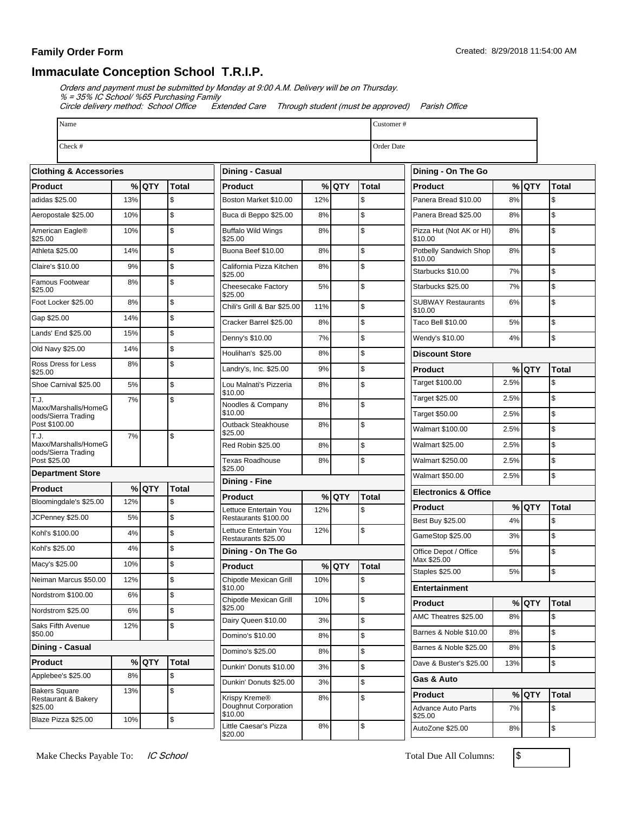## **Family Order Form**

## **Immaculate Conception School T.R.I.P.**

Orders and payment must be submitted by Monday at 9:00 A.M. Delivery will be on Thursday.

% = 35% IC School/ %65 Purchasing Family

Circle delivery method: School Office Extended Care Through student (must be approved) Parish Office

| Name                                        | Customer# |         |                  |                                                              |       |                         |               |                                 |                                      |       |         |               |
|---------------------------------------------|-----------|---------|------------------|--------------------------------------------------------------|-------|-------------------------|---------------|---------------------------------|--------------------------------------|-------|---------|---------------|
| Check #<br>Order Date                       |           |         |                  |                                                              |       |                         |               |                                 |                                      |       |         |               |
| <b>Clothing &amp; Accessories</b>           |           |         | Dining - Casual  |                                                              |       |                         |               |                                 |                                      |       |         |               |
| Product                                     |           | $%$ QTY | Total            | <b>Product</b>                                               |       | % QTY                   | <b>Total</b>  |                                 | <b>Product</b>                       |       | $%$ QTY | Total         |
| adidas \$25.00                              | 13%       |         | $\mathsf{\$}$    | Boston Market \$10.00                                        | 12%   |                         | $\mathsf{\$}$ |                                 | Panera Bread \$10.00                 | 8%    |         | $\$$          |
| Aeropostale \$25.00                         | 10%       |         | \$               | Buca di Beppo \$25.00                                        | 8%    |                         | $\mathsf{\$}$ |                                 | Panera Bread \$25.00                 | 8%    |         | \$            |
| American Eagle®<br>\$25.00                  | 10%       |         | $\mathsf{\$}$    | <b>Buffalo Wild Wings</b><br>\$25.00                         | 8%    |                         | $\mathsf{\$}$ |                                 | Pizza Hut (Not AK or HI)<br>\$10.00  | 8%    |         | \$            |
| Athleta \$25.00                             | 14%       |         | $\mathsf{\$}$    | Buona Beef \$10.00                                           | 8%    |                         | \$            |                                 | Potbelly Sandwich Shop               | 8%    |         | $\mathsf{\$}$ |
| Claire's \$10.00                            | 9%        |         | $\mathsf{\$}$    | California Pizza Kitchen                                     | 8%    |                         | \$            |                                 | \$10.00<br>Starbucks \$10.00         | 7%    |         | \$            |
| Famous Footwear<br>\$25.00                  | 8%        |         | $\mathsf{\$}$    | \$25.00<br>Cheesecake Factory<br>\$25.00                     | 5%    |                         | \$            |                                 | Starbucks \$25.00                    | 7%    |         | $\mathsf{\$}$ |
| Foot Locker \$25.00                         | 8%        |         | \$               | Chili's Grill & Bar \$25.00                                  | 11%   |                         | \$            |                                 | <b>SUBWAY Restaurants</b><br>\$10.00 | 6%    |         | \$            |
| Gap \$25.00                                 | 14%       |         | \$               | Cracker Barrel \$25.00                                       | 8%    |                         | \$            |                                 | Taco Bell \$10.00                    | 5%    |         | \$            |
| Lands' End \$25.00                          | 15%       |         | \$               | Denny's \$10.00                                              | 7%    |                         | \$            |                                 | Wendy's \$10.00                      | 4%    |         | $\mathsf{\$}$ |
| Old Navy \$25.00                            | 14%       |         | $\mathsf{\$}$    | Houlihan's \$25.00                                           | 8%    |                         | $\sqrt{3}$    |                                 | <b>Discount Store</b>                |       |         |               |
| Ross Dress for Less<br>\$25.00              | 8%        |         | \$               | Landry's, Inc. \$25.00                                       | 9%    |                         | $\mathsf{\$}$ |                                 | <b>Product</b>                       |       | % QTY   | <b>Total</b>  |
| Shoe Carnival \$25.00                       | 5%        |         | \$               | Lou Malnati's Pizzeria                                       | 8%    |                         | $\mathsf{\$}$ |                                 | Target \$100.00                      | 2.5%  |         | \$            |
| T.J.                                        | 7%        |         | S.               | \$10.00                                                      |       |                         |               | Target \$25.00                  | 2.5%                                 |       | \$      |               |
| Maxx/Marshalls/HomeG<br>oods/Sierra Trading |           |         |                  | Noodles & Company<br>\$10.00                                 | 8%    |                         | \$            |                                 | Target \$50.00                       | 2.5%  |         | \$            |
| Post \$100.00                               |           |         |                  | Outback Steakhouse<br>\$25.00                                | 8%    |                         | $\mathsf{\$}$ |                                 | <b>Walmart \$100.00</b>              | 2.5%  |         | \$            |
| T.J.<br>Maxx/Marshalls/HomeG                | 7%        |         | Ŝ.               | Red Robin \$25.00                                            | 8%    |                         | \$            |                                 | <b>Walmart \$25.00</b>               | 2.5%  |         | \$            |
| oods/Sierra Trading<br>Post \$25.00         |           |         |                  | <b>Texas Roadhouse</b>                                       | 8%    |                         | \$            |                                 | <b>Walmart \$250.00</b>              | 2.5%  |         | $\mathsf{\$}$ |
| <b>Department Store</b>                     |           |         |                  | \$25.00<br>Dining - Fine                                     |       |                         |               |                                 | <b>Walmart \$50.00</b>               | 2.5%  |         | $\mathsf S$   |
| % QTY<br><b>Total</b><br><b>Product</b>     |           |         |                  | % QTY<br><b>Total</b><br><b>Product</b>                      |       |                         |               | <b>Electronics &amp; Office</b> |                                      |       |         |               |
| Bloomingdale's \$25.00                      | 12%       |         | $\mathsf{\$}$    | Lettuce Entertain You                                        | 12%   |                         | \$            |                                 | <b>Product</b>                       |       | $%$ QTY | Total         |
| JCPenney \$25.00                            | 5%        |         | \$               | Restaurants \$100.00                                         |       |                         |               |                                 | Best Buy \$25.00                     | 4%    |         | \$            |
| Kohl's \$100.00                             | 4%        |         | \$               | Lettuce Entertain You<br>Restaurants \$25.00                 | 12%   |                         | $\mathsf{\$}$ |                                 | GameStop \$25.00                     | 3%    |         | \$            |
| Kohl's \$25.00                              | 4%        |         | \$               | Dining - On The Go                                           |       |                         |               |                                 | Office Depot / Office                | 5%    |         | \$            |
| Macy's \$25.00                              | 10%       |         | $\mathsf{\$}$    | <b>Product</b>                                               |       | $%$ QTY<br><b>Total</b> |               |                                 | Max \$25.00<br>Staples \$25.00       | $5\%$ |         |               |
| Neiman Marcus \$50.00                       | 12%       |         | $\sqrt{2}$       | Chipotle Mexican Grill<br>\$10.00                            | 10%   |                         | $\sqrt{3}$    |                                 | Entertainment                        |       |         | \$            |
| Nordstrom \$100.00                          | 6%        |         | $\sqrt{2}$       | Chipotle Mexican Grill                                       | 10%   |                         | $\sqrt{2}$    |                                 | Product                              |       | $%$ QTY | <b>Total</b>  |
| Nordstrom \$25.00                           | 6%        |         | \$               | \$25.00                                                      |       |                         |               |                                 | AMC Theatres \$25.00                 | 8%    |         | \$            |
| Saks Fifth Avenue                           | 12%       |         | $\sqrt{2}$       | Dairy Queen \$10.00                                          | 3%    |                         | $\mathsf{\$}$ |                                 | Barnes & Noble \$10.00               | 8%    |         | $\mathsf{\$}$ |
| \$50.00<br>Dining - Casual                  |           |         | Domino's \$10.00 | 8%                                                           |       | $\$$                    |               | Barnes & Noble \$25.00          | 8%                                   |       | \$      |               |
| Product                                     |           | % QTY   | Total            | Domino's \$25.00                                             | 8%    |                         | $\$$          |                                 | Dave & Buster's \$25.00              | 13%   |         | \$            |
| Applebee's \$25.00                          | 8%        |         | \$               | Dunkin' Donuts \$10.00                                       | 3%    |                         | $\sqrt{2}$    |                                 | Gas & Auto                           |       |         |               |
| <b>Bakers Square</b>                        | 13%       |         | $\mathsf{\$}$    | Dunkin' Donuts \$25.00                                       | 3%    |                         | $\sqrt{2}$    |                                 | <b>Product</b>                       |       | $%$ QTY | Total         |
| Restaurant & Bakery<br>\$25.00              |           |         |                  | Krispy Kreme <sup>®</sup><br>Doughnut Corporation<br>\$10.00 | 8%    |                         | \$            |                                 | Advance Auto Parts<br>\$25.00        | 7%    |         | \$            |
| Blaze Pizza \$25.00                         | 10%       |         | \$               | Little Caesar's Pizza                                        | $8\%$ |                         | $\$\$         |                                 | AutoZone \$25.00                     | 8%    |         | $\mathcal{L}$ |

\$20.00

AutoZone \$25.00 8% \\ \$